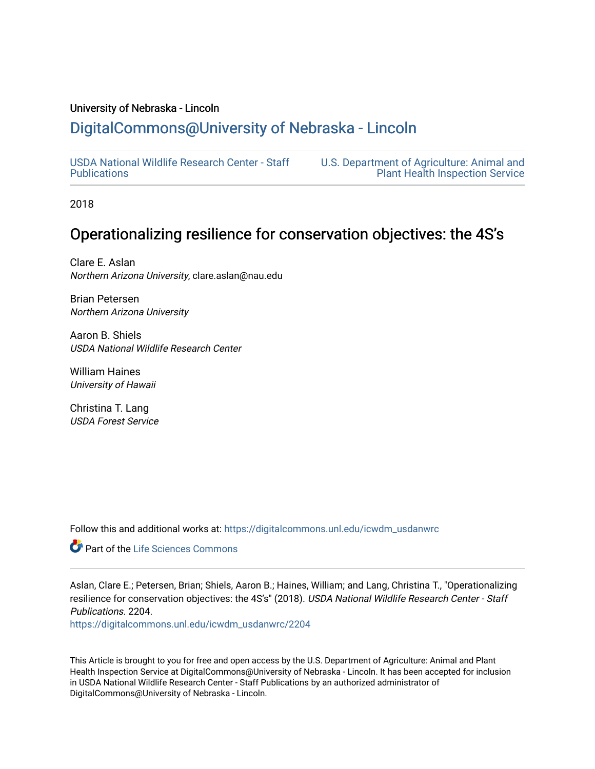## University of Nebraska - Lincoln

# [DigitalCommons@University of Nebraska - Lincoln](https://digitalcommons.unl.edu/)

[USDA National Wildlife Research Center - Staff](https://digitalcommons.unl.edu/icwdm_usdanwrc)  [Publications](https://digitalcommons.unl.edu/icwdm_usdanwrc) 

[U.S. Department of Agriculture: Animal and](https://digitalcommons.unl.edu/usdaaphis)  [Plant Health Inspection Service](https://digitalcommons.unl.edu/usdaaphis) 

2018

# Operationalizing resilience for conservation objectives: the 4S's

Clare E. Aslan Northern Arizona University, clare.aslan@nau.edu

Brian Petersen Northern Arizona University

Aaron B. Shiels USDA National Wildlife Research Center

William Haines University of Hawaii

Christina T. Lang USDA Forest Service

Follow this and additional works at: [https://digitalcommons.unl.edu/icwdm\\_usdanwrc](https://digitalcommons.unl.edu/icwdm_usdanwrc?utm_source=digitalcommons.unl.edu%2Ficwdm_usdanwrc%2F2204&utm_medium=PDF&utm_campaign=PDFCoverPages)

Part of the [Life Sciences Commons](http://network.bepress.com/hgg/discipline/1016?utm_source=digitalcommons.unl.edu%2Ficwdm_usdanwrc%2F2204&utm_medium=PDF&utm_campaign=PDFCoverPages) 

Aslan, Clare E.; Petersen, Brian; Shiels, Aaron B.; Haines, William; and Lang, Christina T., "Operationalizing resilience for conservation objectives: the 4S's" (2018). USDA National Wildlife Research Center - Staff Publications. 2204.

[https://digitalcommons.unl.edu/icwdm\\_usdanwrc/2204](https://digitalcommons.unl.edu/icwdm_usdanwrc/2204?utm_source=digitalcommons.unl.edu%2Ficwdm_usdanwrc%2F2204&utm_medium=PDF&utm_campaign=PDFCoverPages) 

This Article is brought to you for free and open access by the U.S. Department of Agriculture: Animal and Plant Health Inspection Service at DigitalCommons@University of Nebraska - Lincoln. It has been accepted for inclusion in USDA National Wildlife Research Center - Staff Publications by an authorized administrator of DigitalCommons@University of Nebraska - Lincoln.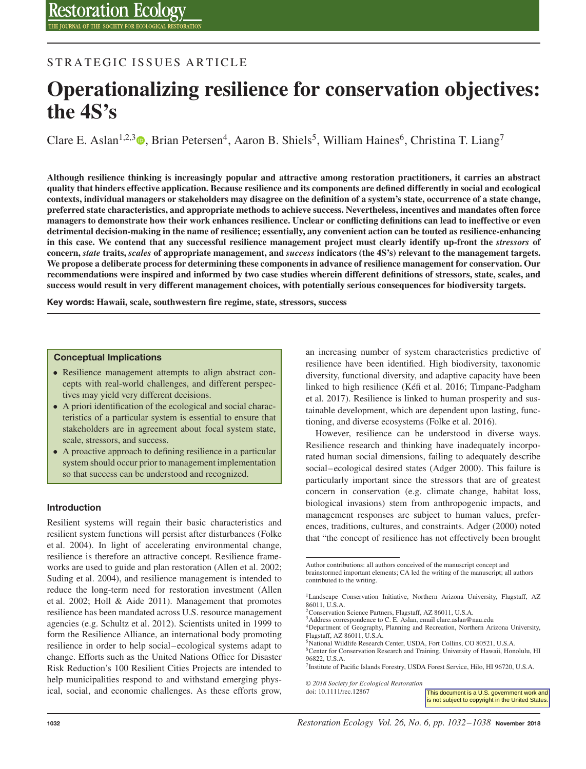# STRATEGIC ISSUES ARTICLE

# **Operationalizing resilience for conservation objectives: the 4S's**

Clare E. Aslan<sup>1[,](http://orcid.org/0000-0001-9901-8793)2,3</sup> $\bullet$ , Brian Petersen<sup>4</sup>, Aaron B. Shiels<sup>5</sup>, William Haines<sup>6</sup>, Christina T. Liang<sup>7</sup>

**Although resilience thinking is increasingly popular and attractive among restoration practitioners, it carries an abstract quality that hinders effective application. Because resilience and its components are defined differently in social and ecological contexts, individual managers or stakeholders may disagree on the definition of a system's state, occurrence of a state change, preferred state characteristics, and appropriate methods to achieve success. Nevertheless, incentives and mandates often force managers to demonstrate how their work enhances resilience. Unclear or conflicting definitions can lead to ineffective or even detrimental decision-making in the name of resilience; essentially, any convenient action can be touted as resilience-enhancing in this case. We contend that any successful resilience management project must clearly identify up-front the** *stressors* **of concern,** *state* **traits,** *scales* **of appropriate management, and** *success* **indicators (the 4S's) relevant to the management targets. We propose a deliberate process for determining these components in advance of resilience management for conservation. Our recommendations were inspired and informed by two case studies wherein different definitions of stressors, state, scales, and success would result in very different management choices, with potentially serious consequences for biodiversity targets.**

**Key words: Hawaii, scale, southwestern fire regime, state, stressors, success**

#### **Conceptual Implications**

- Resilience management attempts to align abstract concepts with real-world challenges, and different perspectives may yield very different decisions.
- A priori identification of the ecological and social characteristics of a particular system is essential to ensure that stakeholders are in agreement about focal system state, scale, stressors, and success.
- A proactive approach to defining resilience in a particular system should occur prior to management implementation so that success can be understood and recognized.

## **Introduction**

Resilient systems will regain their basic characteristics and resilient system functions will persist after disturbances (Folke et al. 2004). In light of accelerating environmental change, resilience is therefore an attractive concept. Resilience frameworks are used to guide and plan restoration (Allen et al. 2002; Suding et al. 2004), and resilience management is intended to reduce the long-term need for restoration investment (Allen et al. 2002; Holl & Aide 2011). Management that promotes resilience has been mandated across U.S. resource management agencies (e.g. Schultz et al. 2012). Scientists united in 1999 to form the Resilience Alliance, an international body promoting resilience in order to help social–ecological systems adapt to change. Efforts such as the United Nations Office for Disaster Risk Reduction's 100 Resilient Cities Projects are intended to help municipalities respond to and withstand emerging physical, social, and economic challenges. As these efforts grow, an increasing number of system characteristics predictive of resilience have been identified. High biodiversity, taxonomic diversity, functional diversity, and adaptive capacity have been linked to high resilience (Kéfi et al. 2016; Timpane-Padgham et al. 2017). Resilience is linked to human prosperity and sustainable development, which are dependent upon lasting, functioning, and diverse ecosystems (Folke et al. 2016).

However, resilience can be understood in diverse ways. Resilience research and thinking have inadequately incorporated human social dimensions, failing to adequately describe social–ecological desired states (Adger 2000). This failure is particularly important since the stressors that are of greatest concern in conservation (e.g. climate change, habitat loss, biological invasions) stem from anthropogenic impacts, and management responses are subject to human values, preferences, traditions, cultures, and constraints. Adger (2000) noted that "the concept of resilience has not effectively been brought

This document is a U.S. government work and is not subject to copyright in the United States

Author contributions: all authors conceived of the manuscript concept and brainstormed important elements; CA led the writing of the manuscript; all authors contributed to the writing.

<sup>1</sup>Landscape Conservation Initiative, Northern Arizona University, Flagstaff, AZ 86011, U.S.A.

<sup>2</sup>Conservation Science Partners, Flagstaff, AZ 86011, U.S.A.

<sup>3</sup>Address correspondence to C. E. Aslan, email clare.aslan@nau.edu

<sup>4</sup>Department of Geography, Planning and Recreation, Northern Arizona University, Flagstaff, AZ 86011, U.S.A.

<sup>5</sup>National Wildlife Research Center, USDA, Fort Collins, CO 80521, U.S.A.

<sup>6</sup>Center for Conservation Research and Training, University of Hawaii, Honolulu, HI 96822, U.S.A.

<sup>&</sup>lt;sup>7</sup>Institute of Pacific Islands Forestry, USDA Forest Service, Hilo, HI 96720, U.S.A.

*<sup>© 2018</sup> Society for Ecological Restoration* doi: 10.1111/rec.12867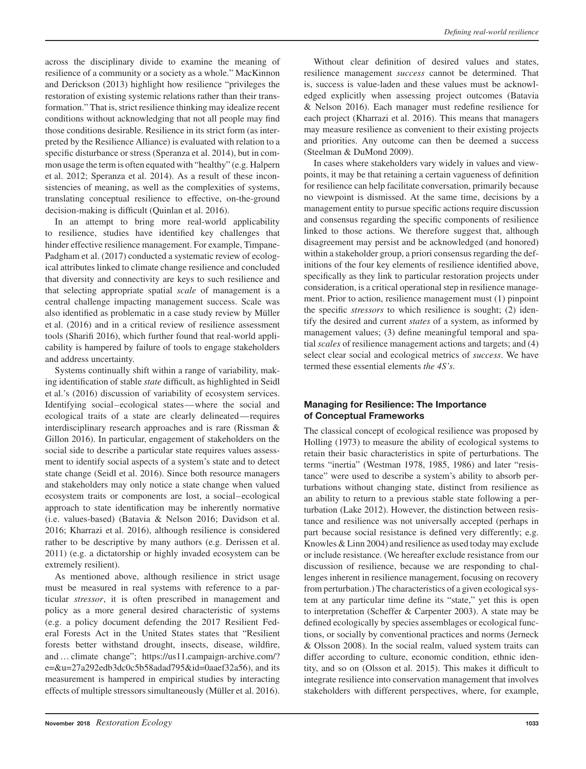across the disciplinary divide to examine the meaning of resilience of a community or a society as a whole." MacKinnon and Derickson (2013) highlight how resilience "privileges the restoration of existing systemic relations rather than their transformation." That is, strict resilience thinking may idealize recent conditions without acknowledging that not all people may find those conditions desirable. Resilience in its strict form (as interpreted by the Resilience Alliance) is evaluated with relation to a specific disturbance or stress (Speranza et al. 2014), but in common usage the term is often equated with "healthy" (e.g. Halpern et al. 2012; Speranza et al. 2014). As a result of these inconsistencies of meaning, as well as the complexities of systems, translating conceptual resilience to effective, on-the-ground decision-making is difficult (Quinlan et al. 2016).

In an attempt to bring more real-world applicability to resilience, studies have identified key challenges that hinder effective resilience management. For example, Timpane-Padgham et al. (2017) conducted a systematic review of ecological attributes linked to climate change resilience and concluded that diversity and connectivity are keys to such resilience and that selecting appropriate spatial *scale* of management is a central challenge impacting management success. Scale was also identified as problematic in a case study review by Müller et al. (2016) and in a critical review of resilience assessment tools (Sharifi 2016), which further found that real-world applicability is hampered by failure of tools to engage stakeholders and address uncertainty.

Systems continually shift within a range of variability, making identification of stable *state* difficult, as highlighted in Seidl et al.'s (2016) discussion of variability of ecosystem services. Identifying social–ecological states—where the social and ecological traits of a state are clearly delineated— requires interdisciplinary research approaches and is rare (Rissman & Gillon 2016). In particular, engagement of stakeholders on the social side to describe a particular state requires values assessment to identify social aspects of a system's state and to detect state change (Seidl et al. 2016). Since both resource managers and stakeholders may only notice a state change when valued ecosystem traits or components are lost, a social–ecological approach to state identification may be inherently normative (i.e. values-based) (Batavia & Nelson 2016; Davidson et al. 2016; Kharrazi et al. 2016), although resilience is considered rather to be descriptive by many authors (e.g. Derissen et al. 2011) (e.g. a dictatorship or highly invaded ecosystem can be extremely resilient).

As mentioned above, although resilience in strict usage must be measured in real systems with reference to a particular *stressor*, it is often prescribed in management and policy as a more general desired characteristic of systems (e.g. a policy document defending the 2017 Resilient Federal Forests Act in the United States states that "Resilient forests better withstand drought, insects, disease, wildfire, and… climate change"; [https://us11.campaign-archive.com/?](https://us11.campaign-archive.com/?e=&u=27a292edb3dc0c5b58adad795&id=0aaef32a56) [e=&u=27a292edb3dc0c5b58adad795&id=0aaef32a56\)](https://us11.campaign-archive.com/?e=&u=27a292edb3dc0c5b58adad795&id=0aaef32a56), and its measurement is hampered in empirical studies by interacting effects of multiple stressors simultaneously (Müller et al. 2016).

Without clear definition of desired values and states, resilience management *success* cannot be determined. That is, success is value-laden and these values must be acknowledged explicitly when assessing project outcomes (Batavia & Nelson 2016). Each manager must redefine resilience for each project (Kharrazi et al. 2016). This means that managers may measure resilience as convenient to their existing projects and priorities. Any outcome can then be deemed a success (Steelman & DuMond 2009).

In cases where stakeholders vary widely in values and viewpoints, it may be that retaining a certain vagueness of definition for resilience can help facilitate conversation, primarily because no viewpoint is dismissed. At the same time, decisions by a management entity to pursue specific actions require discussion and consensus regarding the specific components of resilience linked to those actions. We therefore suggest that, although disagreement may persist and be acknowledged (and honored) within a stakeholder group, a priori consensus regarding the definitions of the four key elements of resilience identified above, specifically as they link to particular restoration projects under consideration, is a critical operational step in resilience management. Prior to action, resilience management must (1) pinpoint the specific *stressors* to which resilience is sought; (2) identify the desired and current *states* of a system, as informed by management values; (3) define meaningful temporal and spatial *scales* of resilience management actions and targets; and (4) select clear social and ecological metrics of *success*. We have termed these essential elements *the 4S's*.

## **Managing for Resilience: The Importance of Conceptual Frameworks**

The classical concept of ecological resilience was proposed by Holling (1973) to measure the ability of ecological systems to retain their basic characteristics in spite of perturbations. The terms "inertia" (Westman 1978, 1985, 1986) and later "resistance" were used to describe a system's ability to absorb perturbations without changing state, distinct from resilience as an ability to return to a previous stable state following a perturbation (Lake 2012). However, the distinction between resistance and resilience was not universally accepted (perhaps in part because social resistance is defined very differently; e.g. Knowles & Linn 2004) and resilience as used today may exclude or include resistance. (We hereafter exclude resistance from our discussion of resilience, because we are responding to challenges inherent in resilience management, focusing on recovery from perturbation.) The characteristics of a given ecological system at any particular time define its "state," yet this is open to interpretation (Scheffer & Carpenter 2003). A state may be defined ecologically by species assemblages or ecological functions, or socially by conventional practices and norms (Jerneck & Olsson 2008). In the social realm, valued system traits can differ according to culture, economic condition, ethnic identity, and so on (Olsson et al. 2015). This makes it difficult to integrate resilience into conservation management that involves stakeholders with different perspectives, where, for example,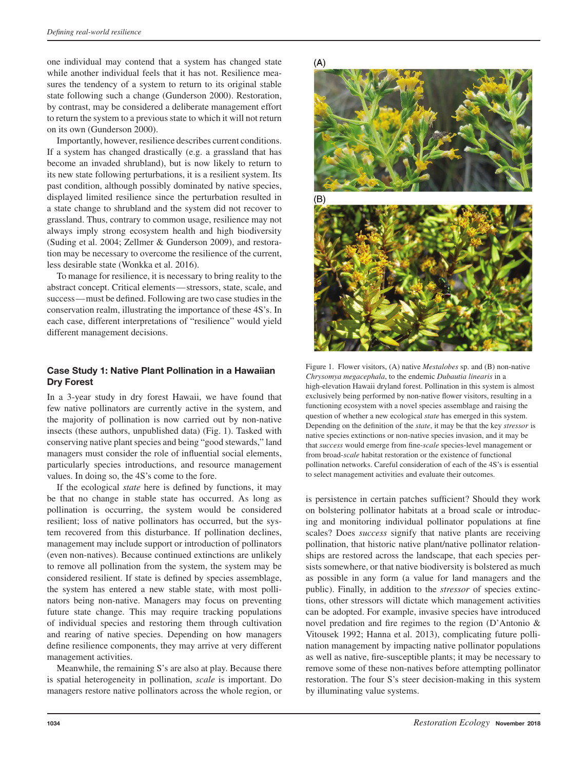one individual may contend that a system has changed state while another individual feels that it has not. Resilience measures the tendency of a system to return to its original stable state following such a change (Gunderson 2000). Restoration, by contrast, may be considered a deliberate management effort to return the system to a previous state to which it will not return on its own (Gunderson 2000).

Importantly, however, resilience describes current conditions. If a system has changed drastically (e.g. a grassland that has become an invaded shrubland), but is now likely to return to its new state following perturbations, it is a resilient system. Its past condition, although possibly dominated by native species, displayed limited resilience since the perturbation resulted in a state change to shrubland and the system did not recover to grassland. Thus, contrary to common usage, resilience may not always imply strong ecosystem health and high biodiversity (Suding et al. 2004; Zellmer & Gunderson 2009), and restoration may be necessary to overcome the resilience of the current, less desirable state (Wonkka et al. 2016).

To manage for resilience, it is necessary to bring reality to the abstract concept. Critical elements—stressors, state, scale, and success—must be defined. Following are two case studies in the conservation realm, illustrating the importance of these 4S's. In each case, different interpretations of "resilience" would yield different management decisions.

## **Case Study 1: Native Plant Pollination in a Hawaiian Dry Forest**

In a 3-year study in dry forest Hawaii, we have found that few native pollinators are currently active in the system, and the majority of pollination is now carried out by non-native insects (these authors, unpublished data) (Fig. 1). Tasked with conserving native plant species and being "good stewards," land managers must consider the role of influential social elements, particularly species introductions, and resource management values. In doing so, the 4S's come to the fore.

If the ecological *state* here is defined by functions, it may be that no change in stable state has occurred. As long as pollination is occurring, the system would be considered resilient; loss of native pollinators has occurred, but the system recovered from this disturbance. If pollination declines, management may include support or introduction of pollinators (even non-natives). Because continued extinctions are unlikely to remove all pollination from the system, the system may be considered resilient. If state is defined by species assemblage, the system has entered a new stable state, with most pollinators being non-native. Managers may focus on preventing future state change. This may require tracking populations of individual species and restoring them through cultivation and rearing of native species. Depending on how managers define resilience components, they may arrive at very different management activities.

Meanwhile, the remaining S's are also at play. Because there is spatial heterogeneity in pollination, *scale* is important. Do managers restore native pollinators across the whole region, or



Figure 1. Flower visitors, (A) native *Mestalobes* sp. and (B) non-native *Chrysomya megacephala*, to the endemic *Dubautia linearis* in a high-elevation Hawaii dryland forest. Pollination in this system is almost exclusively being performed by non-native flower visitors, resulting in a functioning ecosystem with a novel species assemblage and raising the question of whether a new ecological *state* has emerged in this system. Depending on the definition of the *state*, it may be that the key *stressor* is native species extinctions or non-native species invasion, and it may be that *success* would emerge from fine-*scale* species-level management or from broad-*scale* habitat restoration or the existence of functional pollination networks. Careful consideration of each of the 4S's is essential to select management activities and evaluate their outcomes.

is persistence in certain patches sufficient? Should they work on bolstering pollinator habitats at a broad scale or introducing and monitoring individual pollinator populations at fine scales? Does *success* signify that native plants are receiving pollination, that historic native plant/native pollinator relationships are restored across the landscape, that each species persists somewhere, or that native biodiversity is bolstered as much as possible in any form (a value for land managers and the public). Finally, in addition to the *stressor* of species extinctions, other stressors will dictate which management activities can be adopted. For example, invasive species have introduced novel predation and fire regimes to the region (D'Antonio & Vitousek 1992; Hanna et al. 2013), complicating future pollination management by impacting native pollinator populations as well as native, fire-susceptible plants; it may be necessary to remove some of these non-natives before attempting pollinator restoration. The four S's steer decision-making in this system by illuminating value systems.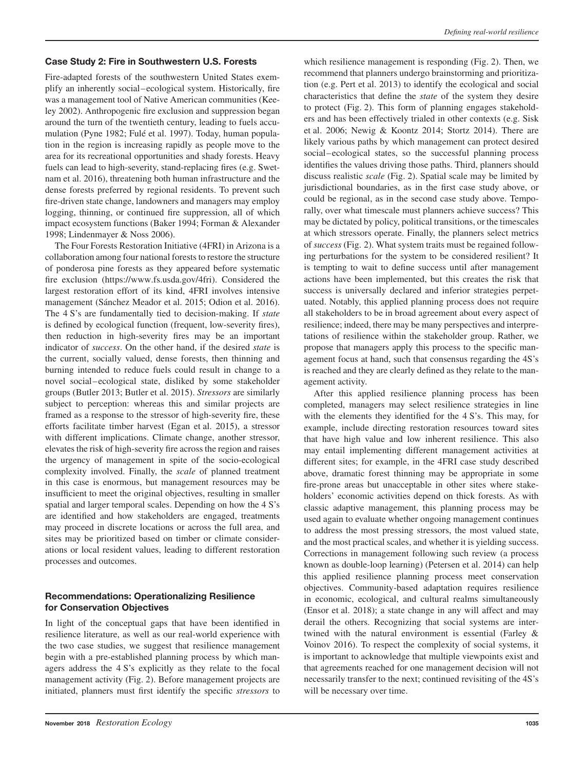#### **Case Study 2: Fire in Southwestern U.S. Forests**

Fire-adapted forests of the southwestern United States exemplify an inherently social–ecological system. Historically, fire was a management tool of Native American communities (Keeley 2002). Anthropogenic fire exclusion and suppression began around the turn of the twentieth century, leading to fuels accumulation (Pyne 1982; Fulé et al. 1997). Today, human population in the region is increasing rapidly as people move to the area for its recreational opportunities and shady forests. Heavy fuels can lead to high-severity, stand-replacing fires (e.g. Swetnam et al. 2016), threatening both human infrastructure and the dense forests preferred by regional residents. To prevent such fire-driven state change, landowners and managers may employ logging, thinning, or continued fire suppression, all of which impact ecosystem functions (Baker 1994; Forman & Alexander 1998; Lindenmayer & Noss 2006).

The Four Forests Restoration Initiative (4FRI) in Arizona is a collaboration among four national forests to restore the structure of ponderosa pine forests as they appeared before systematic fire exclusion [\(https://www.fs.usda.gov/4fri\)](https://www.fs.usda.gov/4fri). Considered the largest restoration effort of its kind, 4FRI involves intensive management (Sánchez Meador et al. 2015; Odion et al. 2016). The 4 S's are fundamentally tied to decision-making. If *state* is defined by ecological function (frequent, low-severity fires), then reduction in high-severity fires may be an important indicator of *success*. On the other hand, if the desired *state* is the current, socially valued, dense forests, then thinning and burning intended to reduce fuels could result in change to a novel social–ecological state, disliked by some stakeholder groups (Butler 2013; Butler et al. 2015). *Stressors* are similarly subject to perception: whereas this and similar projects are framed as a response to the stressor of high-severity fire, these efforts facilitate timber harvest (Egan et al. 2015), a stressor with different implications. Climate change, another stressor, elevates the risk of high-severity fire across the region and raises the urgency of management in spite of the socio-ecological complexity involved. Finally, the *scale* of planned treatment in this case is enormous, but management resources may be insufficient to meet the original objectives, resulting in smaller spatial and larger temporal scales. Depending on how the 4 S's are identified and how stakeholders are engaged, treatments may proceed in discrete locations or across the full area, and sites may be prioritized based on timber or climate considerations or local resident values, leading to different restoration processes and outcomes.

#### **Recommendations: Operationalizing Resilience for Conservation Objectives**

In light of the conceptual gaps that have been identified in resilience literature, as well as our real-world experience with the two case studies, we suggest that resilience management begin with a pre-established planning process by which managers address the 4 S's explicitly as they relate to the focal management activity (Fig. 2). Before management projects are initiated, planners must first identify the specific *stressors* to

which resilience management is responding (Fig. 2). Then, we recommend that planners undergo brainstorming and prioritization (e.g. Pert et al. 2013) to identify the ecological and social characteristics that define the *state* of the system they desire to protect (Fig. 2). This form of planning engages stakeholders and has been effectively trialed in other contexts (e.g. Sisk et al. 2006; Newig & Koontz 2014; Stortz 2014). There are likely various paths by which management can protect desired social–ecological states, so the successful planning process identifies the values driving those paths. Third, planners should discuss realistic *scale* (Fig. 2). Spatial scale may be limited by jurisdictional boundaries, as in the first case study above, or could be regional, as in the second case study above. Temporally, over what timescale must planners achieve success? This may be dictated by policy, political transitions, or the timescales at which stressors operate. Finally, the planners select metrics of *success* (Fig. 2). What system traits must be regained following perturbations for the system to be considered resilient? It is tempting to wait to define success until after management actions have been implemented, but this creates the risk that success is universally declared and inferior strategies perpetuated. Notably, this applied planning process does not require all stakeholders to be in broad agreement about every aspect of resilience; indeed, there may be many perspectives and interpretations of resilience within the stakeholder group. Rather, we propose that managers apply this process to the specific management focus at hand, such that consensus regarding the 4S's is reached and they are clearly defined as they relate to the management activity.

After this applied resilience planning process has been completed, managers may select resilience strategies in line with the elements they identified for the 4 S's. This may, for example, include directing restoration resources toward sites that have high value and low inherent resilience. This also may entail implementing different management activities at different sites; for example, in the 4FRI case study described above, dramatic forest thinning may be appropriate in some fire-prone areas but unacceptable in other sites where stakeholders' economic activities depend on thick forests. As with classic adaptive management, this planning process may be used again to evaluate whether ongoing management continues to address the most pressing stressors, the most valued state, and the most practical scales, and whether it is yielding success. Corrections in management following such review (a process known as double-loop learning) (Petersen et al. 2014) can help this applied resilience planning process meet conservation objectives. Community-based adaptation requires resilience in economic, ecological, and cultural realms simultaneously (Ensor et al. 2018); a state change in any will affect and may derail the others. Recognizing that social systems are intertwined with the natural environment is essential (Farley & Voinov 2016). To respect the complexity of social systems, it is important to acknowledge that multiple viewpoints exist and that agreements reached for one management decision will not necessarily transfer to the next; continued revisiting of the 4S's will be necessary over time.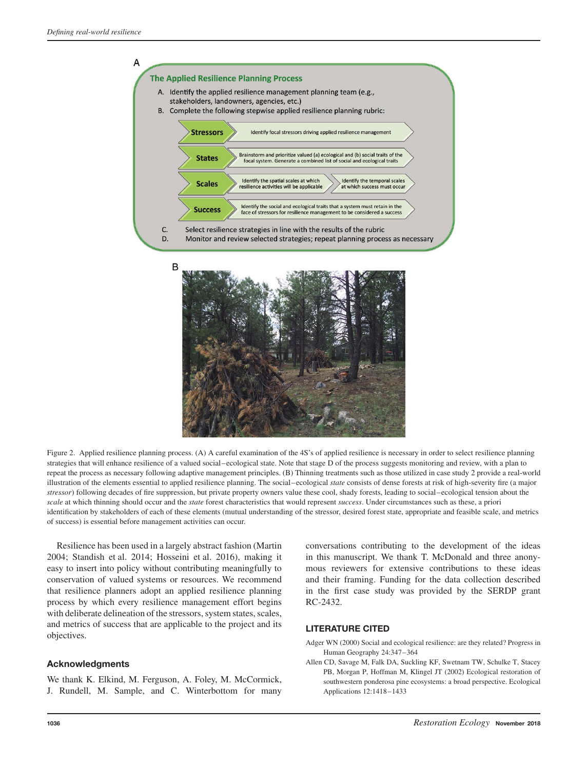



Figure 2. Applied resilience planning process. (A) A careful examination of the 4S's of applied resilience is necessary in order to select resilience planning strategies that will enhance resilience of a valued social–ecological state. Note that stage D of the process suggests monitoring and review, with a plan to repeat the process as necessary following adaptive management principles. (B) Thinning treatments such as those utilized in case study 2 provide a real-world illustration of the elements essential to applied resilience planning. The social–ecological *state* consists of dense forests at risk of high-severity fire (a major *stressor*) following decades of fire suppression, but private property owners value these cool, shady forests, leading to social–ecological tension about the *scale* at which thinning should occur and the *state* forest characteristics that would represent *success*. Under circumstances such as these, a priori identification by stakeholders of each of these elements (mutual understanding of the stressor, desired forest state, appropriate and feasible scale, and metrics of success) is essential before management activities can occur.

Resilience has been used in a largely abstract fashion (Martin 2004; Standish et al. 2014; Hosseini et al. 2016), making it easy to insert into policy without contributing meaningfully to conservation of valued systems or resources. We recommend that resilience planners adopt an applied resilience planning process by which every resilience management effort begins with deliberate delineation of the stressors, system states, scales, and metrics of success that are applicable to the project and its objectives.

## **Acknowledgments**

We thank K. Elkind, M. Ferguson, A. Foley, M. McCormick, J. Rundell, M. Sample, and C. Winterbottom for many conversations contributing to the development of the ideas in this manuscript. We thank T. McDonald and three anonymous reviewers for extensive contributions to these ideas and their framing. Funding for the data collection described in the first case study was provided by the SERDP grant RC-2432.

#### **LITERATURE CITED**

Adger WN (2000) Social and ecological resilience: are they related? Progress in Human Geography 24:347–364

Allen CD, Savage M, Falk DA, Suckling KF, Swetnam TW, Schulke T, Stacey PB, Morgan P, Hoffman M, Klingel JT (2002) Ecological restoration of southwestern ponderosa pine ecosystems: a broad perspective. Ecological Applications 12:1418–1433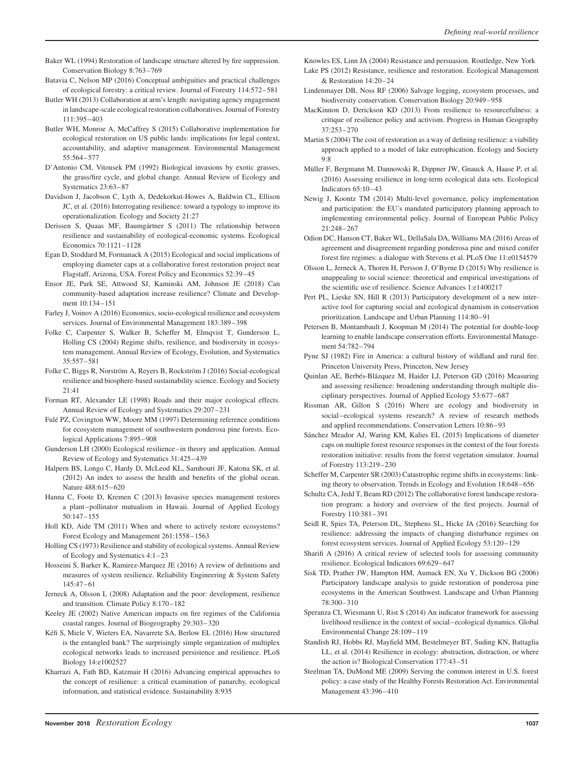- Baker WL (1994) Restoration of landscape structure altered by fire suppression. Conservation Biology 8:763–769
- Batavia C, Nelson MP (2016) Conceptual ambiguities and practical challenges of ecological forestry: a critical review. Journal of Forestry 114:572–581
- Butler WH (2013) Collaboration at arm's length: navigating agency engagement in landscape-scale ecological restoration collaboratives. Journal of Forestry 111:395–403
- Butler WH, Monroe A, McCaffrey S (2015) Collaborative implementation for ecological restoration on US public lands: implications for legal context, accountability, and adaptive management. Environmental Management 55:564–577
- D'Antonio CM, Vitousek PM (1992) Biological invasions by exotic grasses, the grass/fire cycle, and global change. Annual Review of Ecology and Systematics 23:63–87
- Davidson J, Jacobson C, Lyth A, Dedekorkut-Howes A, Baldwin CL, Ellison JC, et al. (2016) Interrogating resilience: toward a typology to improve its operationalization. Ecology and Society 21:27
- Derissen S, Quaas MF, Baumgärtner S (2011) The relationship between resilience and sustainability of ecological-economic systems. Ecological Economics 70:1121–1128
- Egan D, Stoddard M, Formanack A (2015) Ecological and social implications of employing diameter caps at a collaborative forest restoration project near Flagstaff, Arizona, USA. Forest Policy and Economics 52:39–45
- Ensor JE, Park SE, Attwood SJ, Kaminski AM, Johnson JE (2018) Can community-based adaptation increase resilience? Climate and Development 10:134–151
- Farley J, Voinov A (2016) Economics, socio-ecological resilience and ecosystem services. Journal of Environmental Management 183:389–398
- Folke C, Carpenter S, Walker B, Scheffer M, Elmqvist T, Gunderson L, Holling CS (2004) Regime shifts, resilience, and biodiversity in ecosystem management. Annual Review of Ecology, Evolution, and Systematics 35:557–581
- Folke C, Biggs R, Norström A, Reyers B, Rockström J (2016) Social-ecological resilience and biosphere-based sustainability science. Ecology and Society 21:41
- Forman RT, Alexander LE (1998) Roads and their major ecological effects. Annual Review of Ecology and Systematics 29:207–231
- Fulé PZ, Covington WW, Moore MM (1997) Determining reference conditions for ecosystem management of southwestern ponderosa pine forests. Ecological Applications 7:895–908
- Gunderson LH (2000) Ecological resilience–in theory and application. Annual Review of Ecology and Systematics 31:425–439
- Halpern BS, Longo C, Hardy D, McLeod KL, Samhouri JF, Katona SK, et al. (2012) An index to assess the health and benefits of the global ocean. Nature 488:615–620
- Hanna C, Foote D, Kremen C (2013) Invasive species management restores a plant–pollinator mutualism in Hawaii. Journal of Applied Ecology 50:147–155
- Holl KD, Aide TM (2011) When and where to actively restore ecosystems? Forest Ecology and Management 261:1558–1563
- Holling CS (1973) Resilience and stability of ecological systems. Annual Review of Ecology and Systematics 4:1–23
- Hosseini S, Barker K, Ramirez-Marquez JE (2016) A review of definitions and measures of system resilience. Reliability Engineering & System Safety 145:47–61
- Jerneck A, Olsson L (2008) Adaptation and the poor: development, resilience and transition. Climate Policy 8:170–182
- Keeley JE (2002) Native American impacts on fire regimes of the California coastal ranges. Journal of Biogeography 29:303–320
- Kéfi S, Miele V, Wieters EA, Navarrete SA, Berlow EL (2016) How structured is the entangled bank? The surprisingly simple organization of multiplex ecological networks leads to increased persistence and resilience. PLoS Biology 14:e1002527
- Kharrazi A, Fath BD, Katzmair H (2016) Advancing empirical approaches to the concept of resilience: a critical examination of panarchy, ecological information, and statistical evidence. Sustainability 8:935

Knowles ES, Linn JA (2004) Resistance and persuasion. Routledge, New York Lake PS (2012) Resistance, resilience and restoration. Ecological Management & Restoration 14:20–24

- Lindenmayer DB, Noss RF (2006) Salvage logging, ecosystem processes, and biodiversity conservation. Conservation Biology 20:949–958
- MacKinnon D, Derickson KD (2013) From resilience to resourcefulness: a critique of resilience policy and activism. Progress in Human Geography 37:253–270
- Martin S (2004) The cost of restoration as a way of defining resilience: a viability approach applied to a model of lake eutrophication. Ecology and Society 9:8
- Müller F, Bergmann M, Dannowski R, Dippner JW, Gnauck A, Haase P, et al. (2016) Assessing resilience in long-term ecological data sets. Ecological Indicators 65:10–43
- Newig J, Koontz TM (2014) Multi-level governance, policy implementation and participation: the EU's mandated participatory planning approach to implementing environmental policy. Journal of European Public Policy 21:248–267
- Odion DC, Hanson CT, Baker WL, DellaSala DA, Williams MA (2016) Areas of agreement and disagreement regarding ponderosa pine and mixed conifer forest fire regimes: a dialogue with Stevens et al. PLoS One 11:e0154579
- Olsson L, Jerneck A, Thoren H, Persson J, O'Byrne D (2015) Why resilience is unappealing to social science: theoretical and empirical investigations of the scientific use of resilience. Science Advances 1:e1400217
- Pert PL, Lieske SN, Hill R (2013) Participatory development of a new interactive tool for capturing social and ecological dynamism in conservation prioritization. Landscape and Urban Planning 114:80–91
- Petersen B, Montambault J, Koopman M (2014) The potential for double-loop learning to enable landscape conservation efforts. Environmental Management 54:782–794
- Pyne SJ (1982) Fire in America: a cultural history of wildland and rural fire. Princeton University Press, Princeton, New Jersey
- Quinlan AE, Berbés-Blázquez M, Haider LJ, Peterson GD (2016) Measuring and assessing resilience: broadening understanding through multiple disciplinary perspectives. Journal of Applied Ecology 53:677–687
- Rissman AR, Gillon S (2016) Where are ecology and biodiversity in social–ecological systems research? A review of research methods and applied recommendations. Conservation Letters 10:86–93
- Sánchez Meador AJ, Waring KM, Kalies EL (2015) Implications of diameter caps on multiple forest resource responses in the context of the four forests restoration initiative: results from the forest vegetation simulator. Journal of Forestry 113:219–230
- Scheffer M, Carpenter SR (2003) Catastrophic regime shifts in ecosystems: linking theory to observation. Trends in Ecology and Evolution 18:648–656
- Schultz CA, Jedd T, Beam RD (2012) The collaborative forest landscape restoration program: a history and overview of the first projects. Journal of Forestry 110:381–391
- Seidl R, Spies TA, Peterson DL, Stephens SL, Hicke JA (2016) Searching for resilience: addressing the impacts of changing disturbance regimes on forest ecosystem services. Journal of Applied Ecology 53:120–129
- Sharifi A (2016) A critical review of selected tools for assessing community resilience. Ecological Indicators 69:629–647
- Sisk TD, Prather JW, Hampton HM, Aumack EN, Xu Y, Dickson BG (2006) Participatory landscape analysis to guide restoration of ponderosa pine ecosystems in the American Southwest. Landscape and Urban Planning 78:300–310
- Speranza CI, Wiesmann U, Rist S (2014) An indicator framework for assessing livelihood resilience in the context of social–ecological dynamics. Global Environmental Change 28:109–119
- Standish RJ, Hobbs RJ, Mayfield MM, Bestelmeyer BT, Suding KN, Battaglia LL, et al. (2014) Resilience in ecology: abstraction, distraction, or where the action is? Biological Conservation 177:43–51
- Steelman TA, DuMond ME (2009) Serving the common interest in U.S. forest policy: a case study of the Healthy Forests Restoration Act. Environmental Management 43:396–410